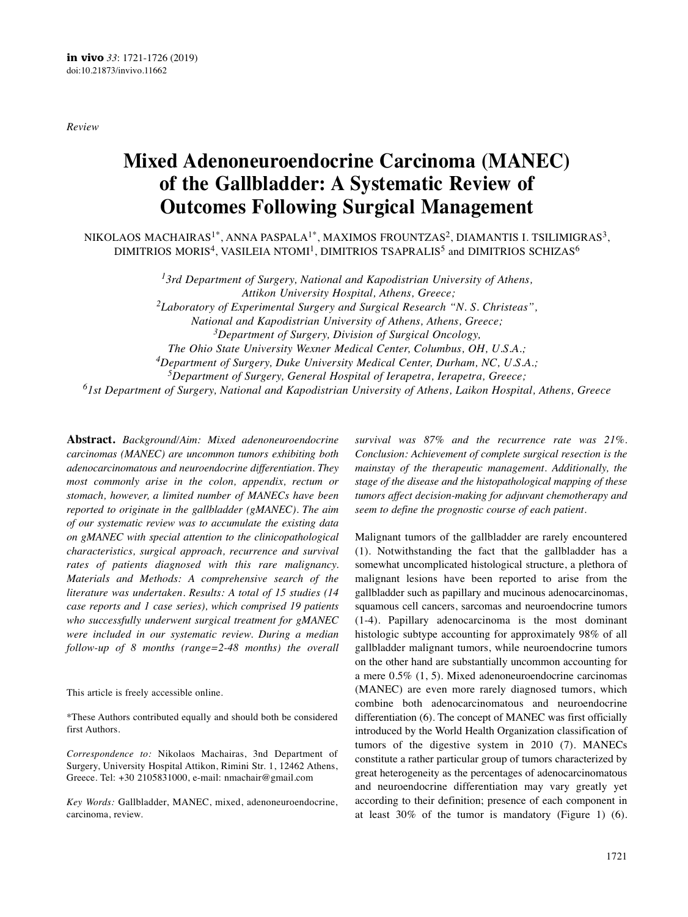*Review*

# **Mixed Adenoneuroendocrine Carcinoma (MANEC) of the Gallbladder: A Systematic Review of Outcomes Following Surgical Management**

NIKOLAOS MACHAIRAS<sup>1\*</sup>, ANNA PASPALA<sup>1\*</sup>, MAXIMOS FROUNTZAS<sup>2</sup>, DIAMANTIS I. TSILIMIGRAS<sup>3</sup>, DIMITRIOS MORIS $^4$ , VASILEIA NTOMI $^1$ , DIMITRIOS TSAPRALIS $^5$  and DIMITRIOS SCHIZAS $^6$ 

> *13rd Department of Surgery, National and Kapodistrian University of Athens, Attikon University Hospital, Athens, Greece; 2Laboratory of Experimental Surgery and Surgical Research "N. S. Christeas", National and Kapodistrian University of Athens, Athens, Greece; 3Department of Surgery, Division of Surgical Oncology, The Ohio State University Wexner Medical Center, Columbus, OH, U.S.A.; 4Department of Surgery, Duke University Medical Center, Durham, NC, U.S.A.; 5Department of Surgery, General Hospital of Ierapetra, Ierapetra, Greece;*

*61st Department of Surgery, National and Kapodistrian University of Athens, Laikon Hospital, Athens, Greece*

**Abstract.** *Background/Aim: Mixed adenoneuroendocrine carcinomas (MANEC) are uncommon tumors exhibiting both adenocarcinomatous and neuroendocrine differentiation. They most commonly arise in the colon, appendix, rectum or stomach, however, a limited number of MANECs have been reported to originate in the gallbladder (gMANEC). The aim of our systematic review was to accumulate the existing data on gMANEC with special attention to the clinicopathological characteristics, surgical approach, recurrence and survival rates of patients diagnosed with this rare malignancy. Materials and Methods: A comprehensive search of the literature was undertaken. Results: A total of 15 studies (14 case reports and 1 case series), which comprised 19 patients who successfully underwent surgical treatment for gMANEC were included in our systematic review. During a median follow-up of 8 months (range=2-48 months) the overall*

This article is freely accessible online.

\*These Authors contributed equally and should both be considered first Authors.

*Correspondence to:* Nikolaos Machairas, 3nd Department of Surgery, University Hospital Attikon, Rimini Str. 1, 12462 Athens, Greece. Tel: +30 2105831000, e-mail: nmachair@gmail.com

*Key Words:* Gallbladder, MANEC, mixed, adenoneuroendocrine, carcinoma, review.

*survival was 87% and the recurrence rate was 21%. Conclusion: Achievement of complete surgical resection is the mainstay of the therapeutic management. Additionally, the stage of the disease and the histopathological mapping of these tumors affect decision-making for adjuvant chemotherapy and seem to define the prognostic course of each patient.*

Malignant tumors of the gallbladder are rarely encountered (1). Notwithstanding the fact that the gallbladder has a somewhat uncomplicated histological structure, a plethora of malignant lesions have been reported to arise from the gallbladder such as papillary and mucinous adenocarcinomas, squamous cell cancers, sarcomas and neuroendocrine tumors (1-4). Papillary adenocarcinoma is the most dominant histologic subtype accounting for approximately 98% of all gallbladder malignant tumors, while neuroendocrine tumors on the other hand are substantially uncommon accounting for a mere 0.5% (1, 5). Mixed adenoneuroendocrine carcinomas (MANEC) are even more rarely diagnosed tumors, which combine both adenocarcinomatous and neuroendocrine differentiation (6). The concept of MANEC was first officially introduced by the World Health Organization classification of tumors of the digestive system in 2010 (7). MANECs constitute a rather particular group of tumors characterized by great heterogeneity as the percentages of adenocarcinomatous and neuroendocrine differentiation may vary greatly yet according to their definition; presence of each component in at least 30% of the tumor is mandatory (Figure 1) (6).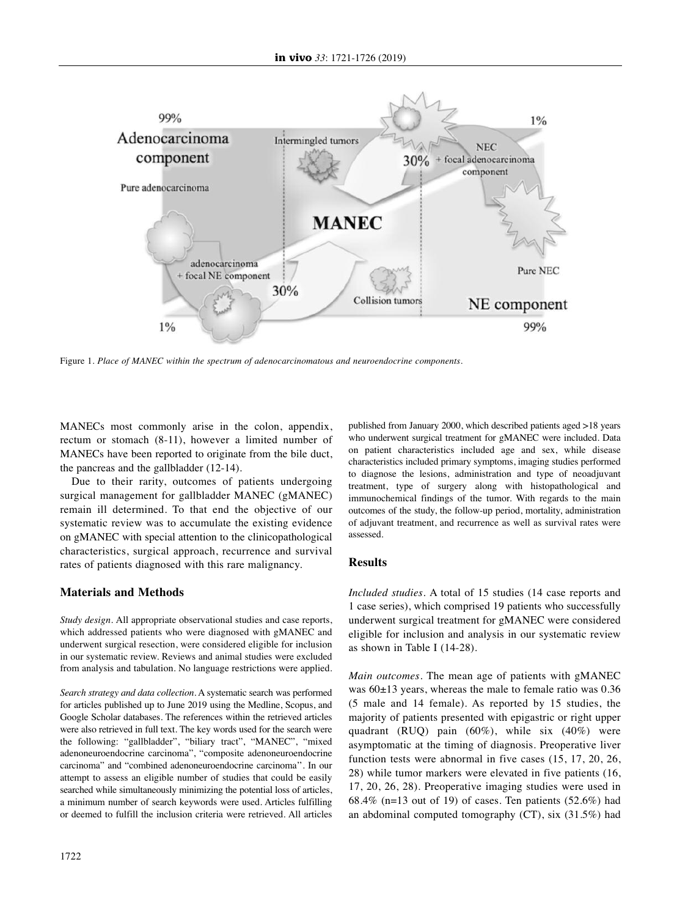

Figure 1. *Place of MANEC within the spectrum of adenocarcinomatous and neuroendocrine components.*

MANECs most commonly arise in the colon, appendix, rectum or stomach (8-11), however a limited number of MANECs have been reported to originate from the bile duct, the pancreas and the gallbladder (12-14).

Due to their rarity, outcomes of patients undergoing surgical management for gallbladder MANEC (gMANEC) remain ill determined. To that end the objective of our systematic review was to accumulate the existing evidence on gMANEC with special attention to the clinicopathological characteristics, surgical approach, recurrence and survival rates of patients diagnosed with this rare malignancy.

# **Materials and Methods**

*Study design.* All appropriate observational studies and case reports, which addressed patients who were diagnosed with gMANEC and underwent surgical resection, were considered eligible for inclusion in our systematic review. Reviews and animal studies were excluded from analysis and tabulation. No language restrictions were applied.

*Search strategy and data collection.* A systematic search was performed for articles published up to June 2019 using the Medline, Scopus, and Google Scholar databases. The references within the retrieved articles were also retrieved in full text. The key words used for the search were the following: "gallbladder", "biliary tract", "MANEC", "mixed adenoneuroendocrine carcinoma", "composite adenoneuroendocrine carcinoma" and "combined adenoneuroendocrine carcinoma''. In our attempt to assess an eligible number of studies that could be easily searched while simultaneously minimizing the potential loss of articles, a minimum number of search keywords were used. Articles fulfilling or deemed to fulfill the inclusion criteria were retrieved. All articles published from January 2000, which described patients aged >18 years who underwent surgical treatment for gMANEC were included. Data on patient characteristics included age and sex, while disease characteristics included primary symptoms, imaging studies performed to diagnose the lesions, administration and type of neoadjuvant treatment, type of surgery along with histopathological and immunochemical findings of the tumor. With regards to the main outcomes of the study, the follow-up period, mortality, administration of adjuvant treatment, and recurrence as well as survival rates were assessed.

# **Results**

*Included studies.* A total of 15 studies (14 case reports and 1 case series), which comprised 19 patients who successfully underwent surgical treatment for gMANEC were considered eligible for inclusion and analysis in our systematic review as shown in Table I (14-28).

*Main outcomes.* The mean age of patients with gMANEC was 60±13 years, whereas the male to female ratio was 0.36 (5 male and 14 female). As reported by 15 studies, the majority of patients presented with epigastric or right upper quadrant (RUQ) pain (60%), while six (40%) were asymptomatic at the timing of diagnosis. Preoperative liver function tests were abnormal in five cases (15, 17, 20, 26, 28) while tumor markers were elevated in five patients (16, 17, 20, 26, 28). Preoperative imaging studies were used in 68.4% (n=13 out of 19) of cases. Ten patients (52.6%) had an abdominal computed tomography (CT), six (31.5%) had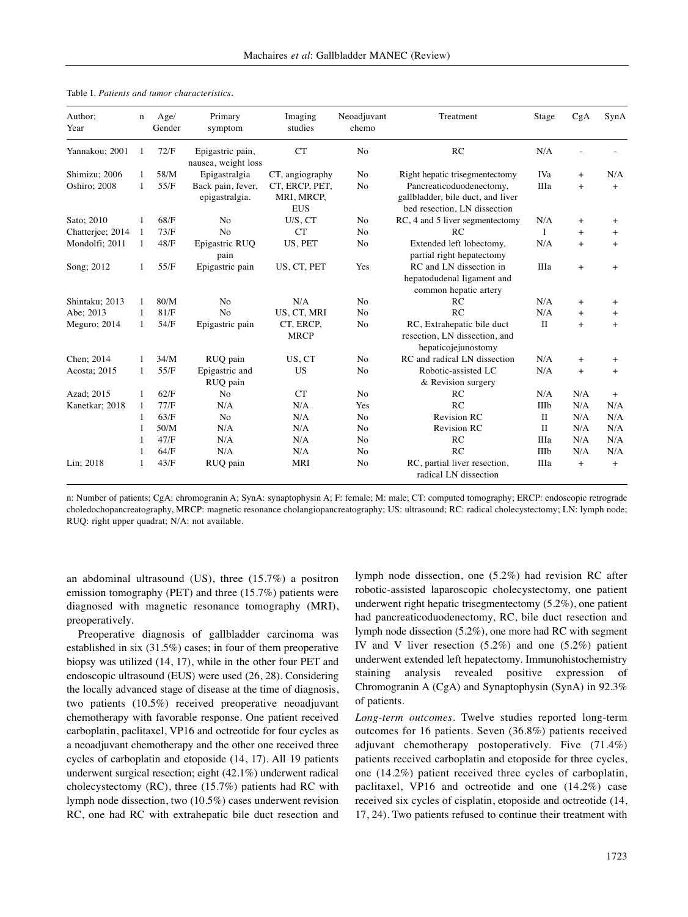| Author:<br>Year  | n | Age/<br>Gender | Primary<br>symptom                      | Imaging<br>studies                         | Neoadjuvant<br>chemo | Treatment                                                                                     | Stage        | CgA       | SynA      |
|------------------|---|----------------|-----------------------------------------|--------------------------------------------|----------------------|-----------------------------------------------------------------------------------------------|--------------|-----------|-----------|
| Yannakou; 2001   |   | 72/F           | Epigastric pain,<br>nausea, weight loss | <b>CT</b>                                  | N <sub>0</sub>       | RC                                                                                            | N/A          |           |           |
| Shimizu; 2006    |   | 58/M           | Epigastralgia                           | CT, angiography                            | N <sub>0</sub>       | Right hepatic trisegmentectomy                                                                | IVa          | $+$       | N/A       |
| Oshiro; 2008     | 1 | 55/F           | Back pain, fever,<br>epigastralgia.     | CT, ERCP, PET,<br>MRI, MRCP,<br><b>EUS</b> | No                   | Pancreaticoduodenectomy,<br>gallbladder, bile duct, and liver<br>bed resection, LN dissection | IIIa         | $+$       | $+$       |
| Sato; 2010       | 1 | 68/F           | N <sub>0</sub>                          | $U/S$ , $CT$                               | N <sub>0</sub>       | RC, 4 and 5 liver segment ectomy                                                              | N/A          | $\ddot{}$ | $\pm$     |
| Chatterjee; 2014 | 1 | 73/F           | N <sub>o</sub>                          | <b>CT</b>                                  | N <sub>0</sub>       | RC                                                                                            | I            | $\ddot{}$ | $\ddot{}$ |
| Mondolfi; 2011   | 1 | 48/F           | Epigastric RUQ<br>pain                  | US, PET                                    | No                   | Extended left lobectomy,<br>partial right hepatectomy                                         | N/A          | $+$       | $+$       |
| Song; 2012       |   | 55/F           | Epigastric pain                         | US, CT, PET                                | Yes                  | RC and LN dissection in<br>hepatodudenal ligament and<br>common hepatic artery                | IIIa         | $\ddot{}$ | $^{+}$    |
| Shintaku; 2013   | 1 | 80/M           | N <sub>o</sub>                          | N/A                                        | N <sub>0</sub>       | RC                                                                                            | N/A          | $+$       | $^{+}$    |
| Abe; 2013        | 1 | 81/F           | N <sub>0</sub>                          | US, CT, MRI                                | N <sub>0</sub>       | RC                                                                                            | N/A          | $+$       | $^{+}$    |
| Meguro; $2014$   | 1 | 54/F           | Epigastric pain                         | CT, ERCP,<br><b>MRCP</b>                   | No                   | RC, Extrahepatic bile duct<br>resection, LN dissection, and<br>hepaticojejunostomy            | $\rm{II}$    | $\ddot{}$ | $+$       |
| Chen; 2014       |   | 34/M           | RUQ pain                                | US, CT                                     | No                   | RC and radical LN dissection                                                                  | N/A          | $\ddot{}$ | $\pm$     |
| Acosta; 2015     | 1 | 55/F           | Epigastric and<br>RUQ pain              | US                                         | N <sub>0</sub>       | Robotic-assisted LC<br>& Revision surgery                                                     | N/A          | $+$       | $^{+}$    |
| Azad; 2015       | 1 | 62/F           | N <sub>0</sub>                          | CT                                         | N <sub>0</sub>       | RC                                                                                            | N/A          | N/A       | $^{+}$    |
| Kanetkar; 2018   | 1 | 77/F           | N/A                                     | N/A                                        | Yes                  | RC                                                                                            | IIIb         | N/A       | N/A       |
|                  | 1 | 63/F           | N <sub>0</sub>                          | N/A                                        | N <sub>0</sub>       | <b>Revision RC</b>                                                                            | $\mathbf{I}$ | N/A       | N/A       |
|                  | 1 | 50/M           | N/A                                     | N/A                                        | N <sub>0</sub>       | <b>Revision RC</b>                                                                            | $\mathbf{I}$ | N/A       | N/A       |
|                  | 1 | 47/F           | N/A                                     | N/A                                        | N <sub>0</sub>       | RC                                                                                            | IIIa         | N/A       | N/A       |
|                  |   | 64/F           | N/A                                     | N/A                                        | N <sub>0</sub>       | RC                                                                                            | IIIb         | N/A       | N/A       |
| Lin; 2018        |   | 43/F           | RUQ pain                                | MRI                                        | N <sub>0</sub>       | RC, partial liver resection,<br>radical LN dissection                                         | IIIa         | $\ddot{}$ | $^{+}$    |

Table I. *Patients and tumor characteristics.*

n: Number of patients; CgA: chromogranin A; SynA: synaptophysin A; F: female; M: male; CT: computed tomography; ERCP: endoscopic retrograde choledochopancreatography, MRCP: magnetic resonance cholangiopancreatography; US: ultrasound; RC: radical cholecystectomy; LN: lymph node; RUQ: right upper quadrat; N/A: not available.

an abdominal ultrasound (US), three (15.7%) a positron emission tomography (PET) and three (15.7%) patients were diagnosed with magnetic resonance tomography (MRI), preoperatively.

Preoperative diagnosis of gallbladder carcinoma was established in six (31.5%) cases; in four of them preoperative biopsy was utilized (14, 17), while in the other four PET and endoscopic ultrasound (EUS) were used (26, 28). Considering the locally advanced stage of disease at the time of diagnosis, two patients (10.5%) received preoperative neoadjuvant chemotherapy with favorable response. One patient received carboplatin, paclitaxel, VP16 and octreotide for four cycles as a neoadjuvant chemotherapy and the other one received three cycles of carboplatin and etoposide (14, 17). All 19 patients underwent surgical resection; eight (42.1%) underwent radical cholecystectomy (RC), three (15.7%) patients had RC with lymph node dissection, two (10.5%) cases underwent revision RC, one had RC with extrahepatic bile duct resection and lymph node dissection, one (5.2%) had revision RC after robotic-assisted laparoscopic cholecystectomy, one patient underwent right hepatic trisegmentectomy (5.2%), one patient had pancreaticoduodenectomy, RC, bile duct resection and lymph node dissection (5.2%), one more had RC with segment IV and V liver resection (5.2%) and one (5.2%) patient underwent extended left hepatectomy. Immunohistochemistry staining analysis revealed positive expression of Chromogranin A (CgA) and Synaptophysin (SynA) in 92.3% of patients.

*Long-term outcomes.* Twelve studies reported long-term outcomes for 16 patients. Seven (36.8%) patients received adjuvant chemotherapy postoperatively. Five (71.4%) patients received carboplatin and etoposide for three cycles, one (14.2%) patient received three cycles of carboplatin, paclitaxel, VP16 and octreotide and one (14.2%) case received six cycles of cisplatin, etoposide and octreotide (14, 17, 24). Two patients refused to continue their treatment with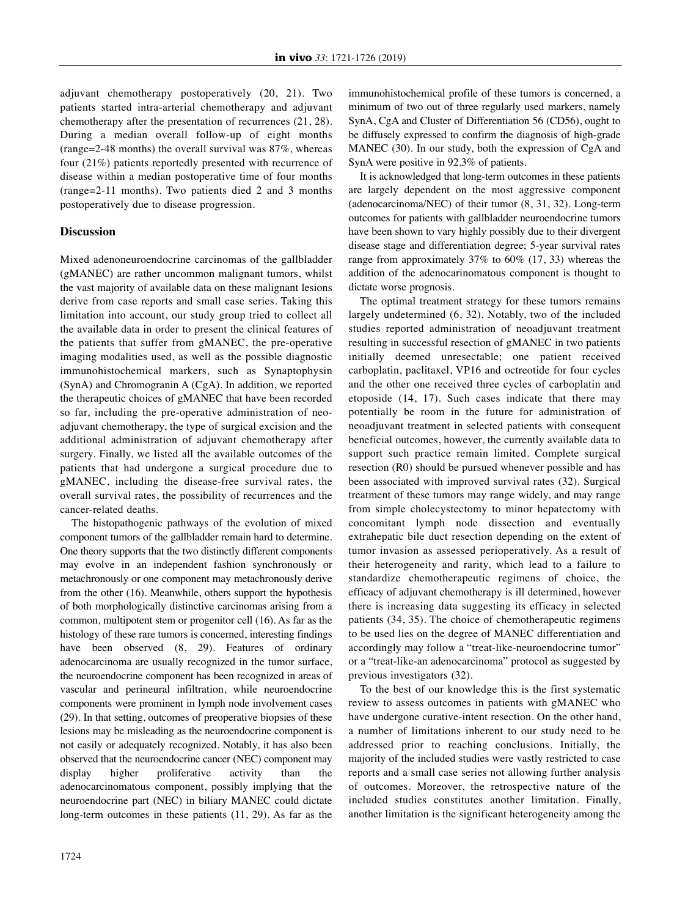adjuvant chemotherapy postoperatively (20, 21). Two patients started intra-arterial chemotherapy and adjuvant chemotherapy after the presentation of recurrences (21, 28). During a median overall follow-up of eight months (range=2-48 months) the overall survival was 87%, whereas four (21%) patients reportedly presented with recurrence of disease within a median postoperative time of four months (range=2-11 months). Two patients died 2 and 3 months postoperatively due to disease progression.

# **Discussion**

Mixed adenoneuroendocrine carcinomas of the gallbladder (gMANEC) are rather uncommon malignant tumors, whilst the vast majority of available data on these malignant lesions derive from case reports and small case series. Taking this limitation into account, our study group tried to collect all the available data in order to present the clinical features of the patients that suffer from gMANEC, the pre-operative imaging modalities used, as well as the possible diagnostic immunohistochemical markers, such as Synaptophysin (SynA) and Chromogranin A (CgA). In addition, we reported the therapeutic choices of gMANEC that have been recorded so far, including the pre-operative administration of neoadjuvant chemotherapy, the type of surgical excision and the additional administration of adjuvant chemotherapy after surgery. Finally, we listed all the available outcomes of the patients that had undergone a surgical procedure due to gMANEC, including the disease-free survival rates, the overall survival rates, the possibility of recurrences and the cancer-related deaths.

The histopathogenic pathways of the evolution of mixed component tumors of the gallbladder remain hard to determine. One theory supports that the two distinctly different components may evolve in an independent fashion synchronously or metachronously or one component may metachronously derive from the other (16). Meanwhile, others support the hypothesis of both morphologically distinctive carcinomas arising from a common, multipotent stem or progenitor cell (16). As far as the histology of these rare tumors is concerned, interesting findings have been observed (8, 29). Features of ordinary adenocarcinoma are usually recognized in the tumor surface, the neuroendocrine component has been recognized in areas of vascular and perineural infiltration, while neuroendocrine components were prominent in lymph node involvement cases (29). In that setting, outcomes of preoperative biopsies of these lesions may be misleading as the neuroendocrine component is not easily or adequately recognized. Notably, it has also been observed that the neuroendocrine cancer (NEC) component may display higher proliferative activity than adenocarcinomatous component, possibly implying that the neuroendocrine part (NEC) in biliary MANEC could dictate long-term outcomes in these patients (11, 29). As far as the immunohistochemical profile of these tumors is concerned, a minimum of two out of three regularly used markers, namely SynA, CgA and Cluster of Differentiation 56 (CD56), ought to be diffusely expressed to confirm the diagnosis of high-grade MANEC (30). In our study, both the expression of CgA and SynA were positive in 92.3% of patients.

It is acknowledged that long-term outcomes in these patients are largely dependent on the most aggressive component (adenocarcinoma/NEC) of their tumor (8, 31, 32). Long-term outcomes for patients with gallbladder neuroendocrine tumors have been shown to vary highly possibly due to their divergent disease stage and differentiation degree; 5-year survival rates range from approximately 37% to 60% (17, 33) whereas the addition of the adenocarinomatous component is thought to dictate worse prognosis.

The optimal treatment strategy for these tumors remains largely undetermined (6, 32). Notably, two of the included studies reported administration of neoadjuvant treatment resulting in successful resection of gMANEC in two patients initially deemed unresectable; one patient received carboplatin, paclitaxel, VP16 and octreotide for four cycles and the other one received three cycles of carboplatin and etoposide (14, 17). Such cases indicate that there may potentially be room in the future for administration of neoadjuvant treatment in selected patients with consequent beneficial outcomes, however, the currently available data to support such practice remain limited. Complete surgical resection (R0) should be pursued whenever possible and has been associated with improved survival rates (32). Surgical treatment of these tumors may range widely, and may range from simple cholecystectomy to minor hepatectomy with concomitant lymph node dissection and eventually extrahepatic bile duct resection depending on the extent of tumor invasion as assessed perioperatively. As a result of their heterogeneity and rarity, which lead to a failure to standardize chemotherapeutic regimens of choice, the efficacy of adjuvant chemotherapy is ill determined, however there is increasing data suggesting its efficacy in selected patients (34, 35). The choice of chemotherapeutic regimens to be used lies on the degree of MANEC differentiation and accordingly may follow a "treat-like-neuroendocrine tumor" or a "treat-like-an adenocarcinoma" protocol as suggested by previous investigators (32).

To the best of our knowledge this is the first systematic review to assess outcomes in patients with gMANEC who have undergone curative-intent resection. On the other hand, a number of limitations inherent to our study need to be addressed prior to reaching conclusions. Initially, the majority of the included studies were vastly restricted to case reports and a small case series not allowing further analysis of outcomes. Moreover, the retrospective nature of the included studies constitutes another limitation. Finally, another limitation is the significant heterogeneity among the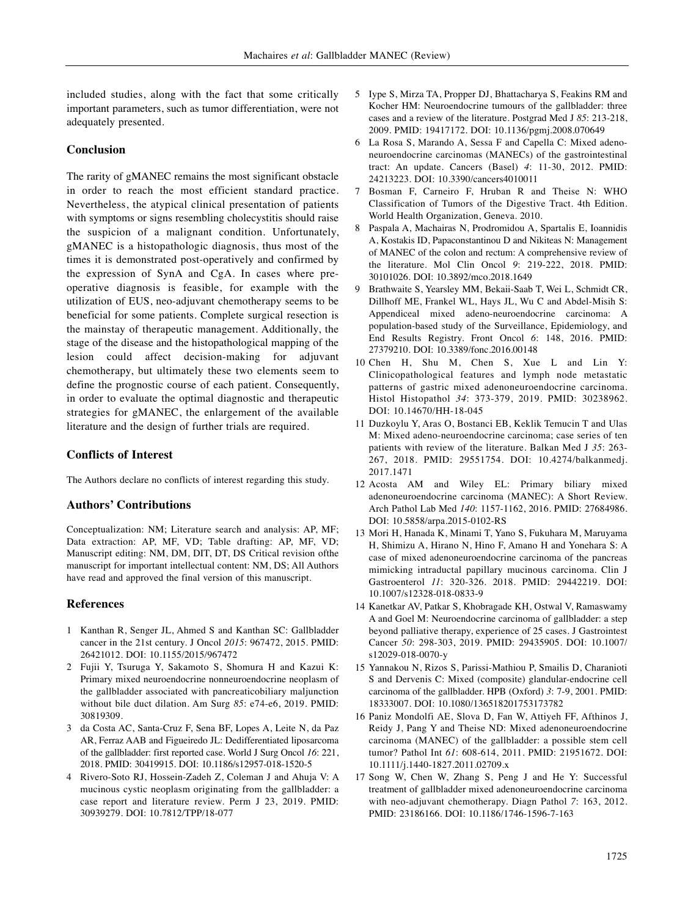included studies, along with the fact that some critically important parameters, such as tumor differentiation, were not adequately presented.

# **Conclusion**

The rarity of gMANEC remains the most significant obstacle in order to reach the most efficient standard practice. Nevertheless, the atypical clinical presentation of patients with symptoms or signs resembling cholecystitis should raise the suspicion of a malignant condition. Unfortunately, gMANEC is a histopathologic diagnosis, thus most of the times it is demonstrated post-operatively and confirmed by the expression of SynA and CgA. In cases where preoperative diagnosis is feasible, for example with the utilization of EUS, neo-adjuvant chemotherapy seems to be beneficial for some patients. Complete surgical resection is the mainstay of therapeutic management. Additionally, the stage of the disease and the histopathological mapping of the lesion could affect decision-making for adjuvant chemotherapy, but ultimately these two elements seem to define the prognostic course of each patient. Consequently, in order to evaluate the optimal diagnostic and therapeutic strategies for gMANEC, the enlargement of the available literature and the design of further trials are required.

# **Conflicts of Interest**

The Authors declare no conflicts of interest regarding this study.

### **Authors' Contributions**

Conceptualization: NM; Literature search and analysis: AP, MF; Data extraction: AP, MF, VD; Table drafting: AP, MF, VD; Manuscript editing: NM, DM, DIT, DT, DS Critical revision ofthe manuscript for important intellectual content: NM, DS; All Authors have read and approved the final version of this manuscript.

#### **References**

- 1 Kanthan R, Senger JL, Ahmed S and Kanthan SC: Gallbladder cancer in the 21st century. J Oncol *2015*: 967472, 2015. PMID: 26421012. DOI: 10.1155/2015/967472
- 2 Fujii Y, Tsuruga Y, Sakamoto S, Shomura H and Kazui K: Primary mixed neuroendocrine nonneuroendocrine neoplasm of the gallbladder associated with pancreaticobiliary maljunction without bile duct dilation. Am Surg *85*: e74-e6, 2019. PMID: 30819309.
- 3 da Costa AC, Santa-Cruz F, Sena BF, Lopes A, Leite N, da Paz AR, Ferraz AAB and Figueiredo JL: Dedifferentiated liposarcoma of the gallbladder: first reported case. World J Surg Oncol *16*: 221, 2018. PMID: 30419915. DOI: 10.1186/s12957-018-1520-5
- 4 Rivero-Soto RJ, Hossein-Zadeh Z, Coleman J and Ahuja V: A mucinous cystic neoplasm originating from the gallbladder: a case report and literature review. Perm J 23, 2019. PMID: 30939279. DOI: 10.7812/TPP/18-077
- 5 Iype S, Mirza TA, Propper DJ, Bhattacharya S, Feakins RM and Kocher HM: Neuroendocrine tumours of the gallbladder: three cases and a review of the literature. Postgrad Med J *85*: 213-218, 2009. PMID: 19417172. DOI: 10.1136/pgmj.2008.070649
- 6 La Rosa S, Marando A, Sessa F and Capella C: Mixed adenoneuroendocrine carcinomas (MANECs) of the gastrointestinal tract: An update. Cancers (Basel) *4*: 11-30, 2012. PMID: 24213223. DOI: 10.3390/cancers4010011
- 7 Bosman F, Carneiro F, Hruban R and Theise N: WHO Classification of Tumors of the Digestive Tract. 4th Edition. World Health Organization, Geneva. 2010.
- 8 Paspala A, Machairas N, Prodromidou A, Spartalis E, Ioannidis A, Kostakis ID, Papaconstantinou D and Nikiteas N: Management of MANEC of the colon and rectum: A comprehensive review of the literature. Mol Clin Oncol *9*: 219-222, 2018. PMID: 30101026. DOI: 10.3892/mco.2018.1649
- 9 Brathwaite S, Yearsley MM, Bekaii-Saab T, Wei L, Schmidt CR, Dillhoff ME, Frankel WL, Hays JL, Wu C and Abdel-Misih S: Appendiceal mixed adeno-neuroendocrine carcinoma: A population-based study of the Surveillance, Epidemiology, and End Results Registry. Front Oncol *6*: 148, 2016. PMID: 27379210. DOI: 10.3389/fonc.2016.00148
- 10 Chen H, Shu M, Chen S, Xue L and Lin Y: Clinicopathological features and lymph node metastatic patterns of gastric mixed adenoneuroendocrine carcinoma. Histol Histopathol *34*: 373-379, 2019. PMID: 30238962. DOI: 10.14670/HH-18-045
- 11 Duzkoylu Y, Aras O, Bostanci EB, Keklik Temucin T and Ulas M: Mixed adeno-neuroendocrine carcinoma; case series of ten patients with review of the literature. Balkan Med J *35*: 263- 267, 2018. PMID: 29551754. DOI: 10.4274/balkanmedj. 2017.1471
- 12 Acosta AM and Wiley EL: Primary biliary mixed adenoneuroendocrine carcinoma (MANEC): A Short Review. Arch Pathol Lab Med *140*: 1157-1162, 2016. PMID: 27684986. DOI: 10.5858/arpa.2015-0102-RS
- 13 Mori H, Hanada K, Minami T, Yano S, Fukuhara M, Maruyama H, Shimizu A, Hirano N, Hino F, Amano H and Yonehara S: A case of mixed adenoneuroendocrine carcinoma of the pancreas mimicking intraductal papillary mucinous carcinoma. Clin J Gastroenterol *11*: 320-326. 2018. PMID: 29442219. DOI: 10.1007/s12328-018-0833-9
- 14 Kanetkar AV, Patkar S, Khobragade KH, Ostwal V, Ramaswamy A and Goel M: Neuroendocrine carcinoma of gallbladder: a step beyond palliative therapy, experience of 25 cases. J Gastrointest Cancer *50*: 298-303, 2019. PMID: 29435905. DOI: 10.1007/ s12029-018-0070-y
- 15 Yannakou N, Rizos S, Parissi-Mathiou P, Smailis D, Charanioti S and Dervenis C: Mixed (composite) glandular-endocrine cell carcinoma of the gallbladder. HPB (Oxford) *3*: 7-9, 2001. PMID: 18333007. DOI: 10.1080/136518201753173782
- 16 Paniz Mondolfi AE, Slova D, Fan W, Attiyeh FF, Afthinos J, Reidy J, Pang Y and Theise ND: Mixed adenoneuroendocrine carcinoma (MANEC) of the gallbladder: a possible stem cell tumor? Pathol Int *61*: 608-614, 2011. PMID: 21951672. DOI: 10.1111/j.1440-1827.2011.02709.x
- 17 Song W, Chen W, Zhang S, Peng J and He Y: Successful treatment of gallbladder mixed adenoneuroendocrine carcinoma with neo-adjuvant chemotherapy. Diagn Pathol *7*: 163, 2012. PMID: 23186166. DOI: 10.1186/1746-1596-7-163